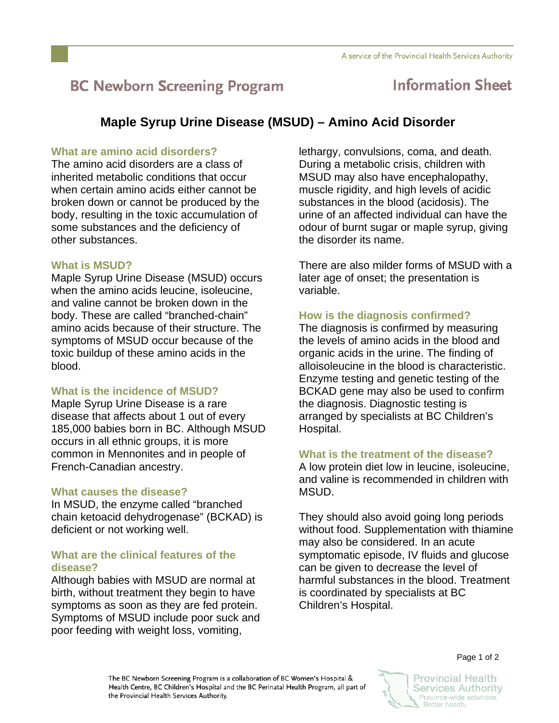# **BC Newborn Screening Program**

## **Information Sheet**

### **Maple Syrup Urine Disease (MSUD) – Amino Acid Disorder**

#### **What are amino acid disorders?**

The amino acid disorders are a class of inherited metabolic conditions that occur when certain amino acids either cannot be broken down or cannot be produced by the body, resulting in the toxic accumulation of some substances and the deficiency of other substances.

#### **What is MSUD?**

Maple Syrup Urine Disease (MSUD) occurs when the amino acids leucine, isoleucine, and valine cannot be broken down in the body. These are called "branched-chain" amino acids because of their structure. The symptoms of MSUD occur because of the toxic buildup of these amino acids in the blood.

#### **What is the incidence of MSUD?**

Maple Syrup Urine Disease is a rare disease that affects about 1 out of every 185,000 babies born in BC. Although MSUD occurs in all ethnic groups, it is more common in Mennonites and in people of French-Canadian ancestry.

#### **What causes the disease?**

In MSUD, the enzyme called "branched chain ketoacid dehydrogenase" (BCKAD) is deficient or not working well.

#### **What are the clinical features of the disease?**

Although babies with MSUD are normal at birth, without treatment they begin to have symptoms as soon as they are fed protein. Symptoms of MSUD include poor suck and poor feeding with weight loss, vomiting,

lethargy, convulsions, coma, and death. During a metabolic crisis, children with MSUD may also have encephalopathy, muscle rigidity, and high levels of acidic substances in the blood (acidosis). The urine of an affected individual can have the odour of burnt sugar or maple syrup, giving the disorder its name.

There are also milder forms of MSUD with a later age of onset; the presentation is variable.

#### **How is the diagnosis confirmed?**

The diagnosis is confirmed by measuring the levels of amino acids in the blood and organic acids in the urine. The finding of alloisoleucine in the blood is characteristic. Enzyme testing and genetic testing of the BCKAD gene may also be used to confirm the diagnosis. Diagnostic testing is arranged by specialists at BC Children's Hospital.

#### **What is the treatment of the disease?**

A low protein diet low in leucine, isoleucine, and valine is recommended in children with MSUD.

They should also avoid going long periods without food. Supplementation with thiamine may also be considered. In an acute symptomatic episode, IV fluids and glucose can be given to decrease the level of harmful substances in the blood. Treatment is coordinated by specialists at BC Children's Hospital.